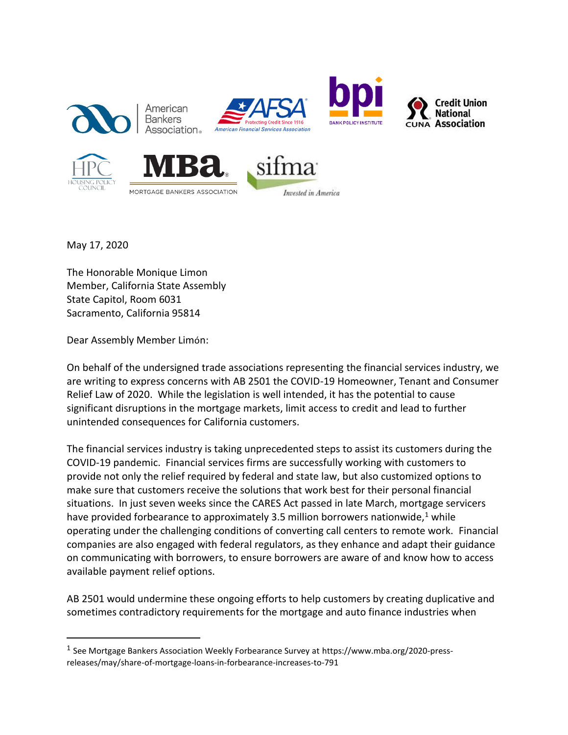

May 17, 2020

 $\overline{a}$ 

The Honorable Monique Limon Member, California State Assembly State Capitol, Room 6031 Sacramento, California 95814

Dear Assembly Member Limón:

On behalf of the undersigned trade associations representing the financial services industry, we are writing to express concerns with AB 2501 the COVID-19 Homeowner, Tenant and Consumer Relief Law of 2020. While the legislation is well intended, it has the potential to cause significant disruptions in the mortgage markets, limit access to credit and lead to further unintended consequences for California customers.

The financial services industry is taking unprecedented steps to assist its customers during the COVID-19 pandemic. Financial services firms are successfully working with customers to provide not only the relief required by federal and state law, but also customized options to make sure that customers receive the solutions that work best for their personal financial situations. In just seven weeks since the CARES Act passed in late March, mortgage servicers have provided forbearance to approximately 3.5 million borrowers nationwide, $1$  while operating under the challenging conditions of converting call centers to remote work. Financial companies are also engaged with federal regulators, as they enhance and adapt their guidance on communicating with borrowers, to ensure borrowers are aware of and know how to access available payment relief options.

AB 2501 would undermine these ongoing efforts to help customers by creating duplicative and sometimes contradictory requirements for the mortgage and auto finance industries when

<sup>&</sup>lt;sup>1</sup> See Mortgage Bankers Association Weekly Forbearance Survey at https://www.mba.org/2020-pressreleases/may/share-of-mortgage-loans-in-forbearance-increases-to-791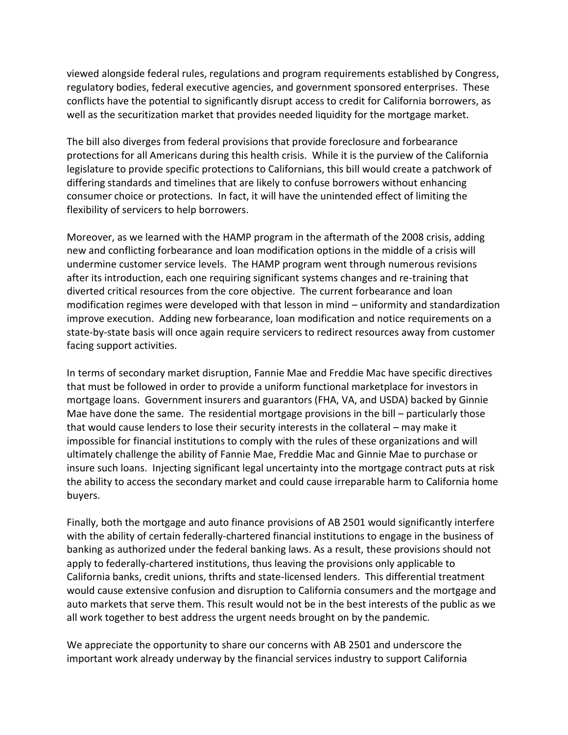viewed alongside federal rules, regulations and program requirements established by Congress, regulatory bodies, federal executive agencies, and government sponsored enterprises. These conflicts have the potential to significantly disrupt access to credit for California borrowers, as well as the securitization market that provides needed liquidity for the mortgage market.

The bill also diverges from federal provisions that provide foreclosure and forbearance protections for all Americans during this health crisis. While it is the purview of the California legislature to provide specific protections to Californians, this bill would create a patchwork of differing standards and timelines that are likely to confuse borrowers without enhancing consumer choice or protections. In fact, it will have the unintended effect of limiting the flexibility of servicers to help borrowers.

Moreover, as we learned with the HAMP program in the aftermath of the 2008 crisis, adding new and conflicting forbearance and loan modification options in the middle of a crisis will undermine customer service levels. The HAMP program went through numerous revisions after its introduction, each one requiring significant systems changes and re-training that diverted critical resources from the core objective. The current forbearance and loan modification regimes were developed with that lesson in mind – uniformity and standardization improve execution. Adding new forbearance, loan modification and notice requirements on a state-by-state basis will once again require servicers to redirect resources away from customer facing support activities.

In terms of secondary market disruption, Fannie Mae and Freddie Mac have specific directives that must be followed in order to provide a uniform functional marketplace for investors in mortgage loans. Government insurers and guarantors (FHA, VA, and USDA) backed by Ginnie Mae have done the same. The residential mortgage provisions in the bill – particularly those that would cause lenders to lose their security interests in the collateral – may make it impossible for financial institutions to comply with the rules of these organizations and will ultimately challenge the ability of Fannie Mae, Freddie Mac and Ginnie Mae to purchase or insure such loans. Injecting significant legal uncertainty into the mortgage contract puts at risk the ability to access the secondary market and could cause irreparable harm to California home buyers.

Finally, both the mortgage and auto finance provisions of AB 2501 would significantly interfere with the ability of certain federally-chartered financial institutions to engage in the business of banking as authorized under the federal banking laws. As a result, these provisions should not apply to federally-chartered institutions, thus leaving the provisions only applicable to California banks, credit unions, thrifts and state-licensed lenders. This differential treatment would cause extensive confusion and disruption to California consumers and the mortgage and auto markets that serve them. This result would not be in the best interests of the public as we all work together to best address the urgent needs brought on by the pandemic.

We appreciate the opportunity to share our concerns with AB 2501 and underscore the important work already underway by the financial services industry to support California